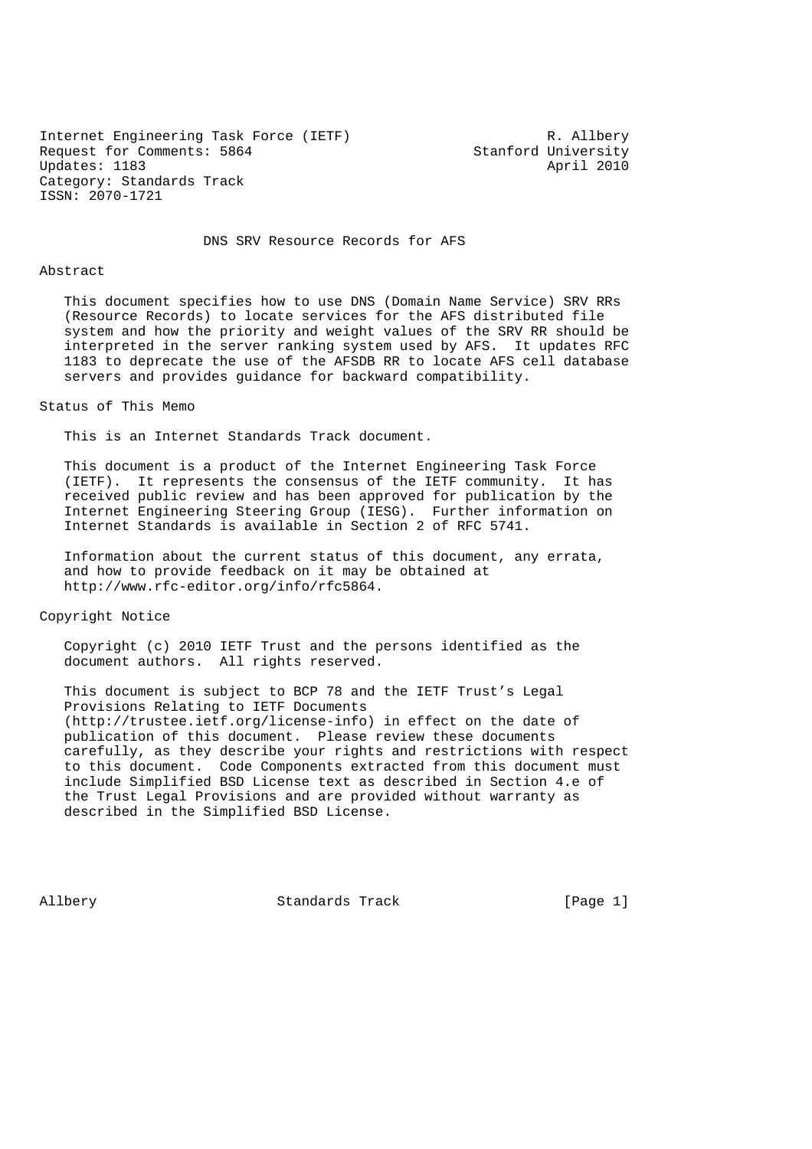Internet Engineering Task Force (IETF) R. Allbery<br>Request for Comments: 5864 Stanford University Request for Comments: 5864 Stanford University<br>Updates: 1183 April 2010 Updates: 1183 Category: Standards Track ISSN: 2070-1721

DNS SRV Resource Records for AFS

#### Abstract

 This document specifies how to use DNS (Domain Name Service) SRV RRs (Resource Records) to locate services for the AFS distributed file system and how the priority and weight values of the SRV RR should be interpreted in the server ranking system used by AFS. It updates RFC 1183 to deprecate the use of the AFSDB RR to locate AFS cell database servers and provides guidance for backward compatibility.

#### Status of This Memo

This is an Internet Standards Track document.

 This document is a product of the Internet Engineering Task Force (IETF). It represents the consensus of the IETF community. It has received public review and has been approved for publication by the Internet Engineering Steering Group (IESG). Further information on Internet Standards is available in Section 2 of RFC 5741.

 Information about the current status of this document, any errata, and how to provide feedback on it may be obtained at http://www.rfc-editor.org/info/rfc5864.

Copyright Notice

 Copyright (c) 2010 IETF Trust and the persons identified as the document authors. All rights reserved.

 This document is subject to BCP 78 and the IETF Trust's Legal Provisions Relating to IETF Documents (http://trustee.ietf.org/license-info) in effect on the date of publication of this document. Please review these documents carefully, as they describe your rights and restrictions with respect to this document. Code Components extracted from this document must include Simplified BSD License text as described in Section 4.e of the Trust Legal Provisions and are provided without warranty as described in the Simplified BSD License.

Allbery Standards Track [Page 1]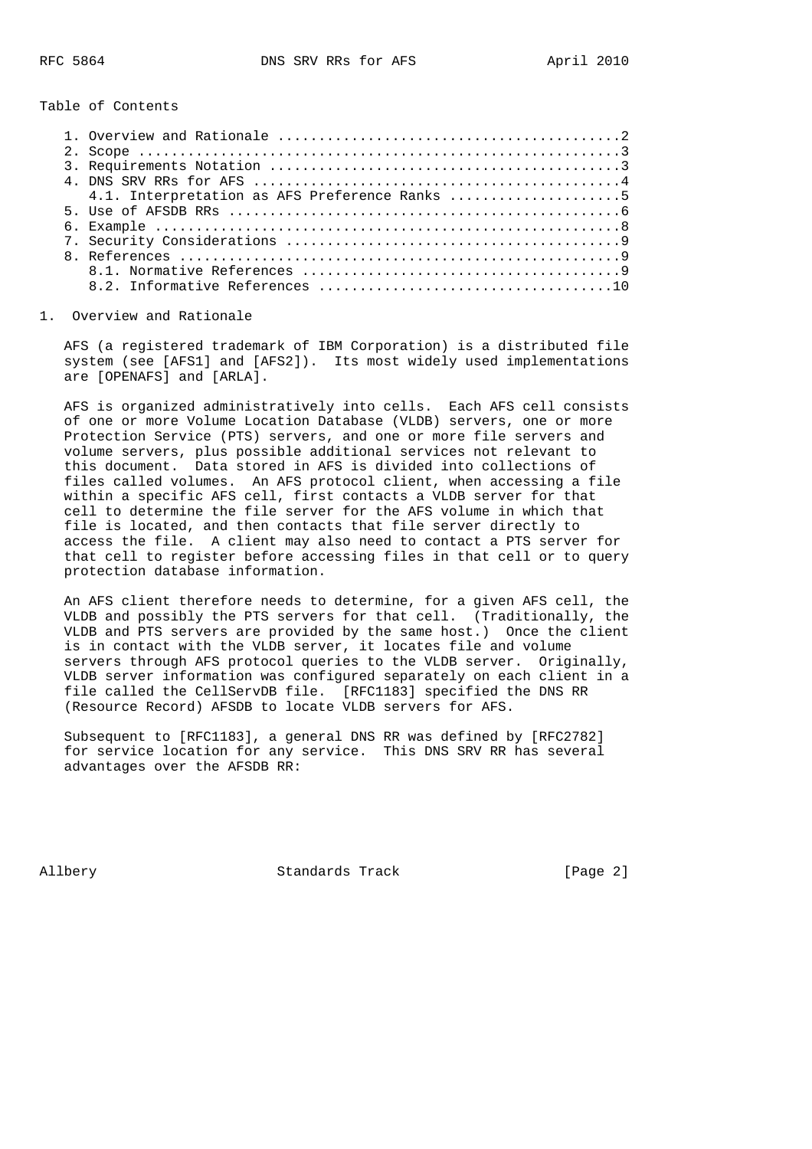Table of Contents

|  | 4.1. Interpretation as AFS Preference Ranks 5 |
|--|-----------------------------------------------|
|  |                                               |
|  |                                               |
|  |                                               |
|  |                                               |
|  |                                               |
|  |                                               |
|  |                                               |

### 1. Overview and Rationale

 AFS (a registered trademark of IBM Corporation) is a distributed file system (see [AFS1] and [AFS2]). Its most widely used implementations are [OPENAFS] and [ARLA].

 AFS is organized administratively into cells. Each AFS cell consists of one or more Volume Location Database (VLDB) servers, one or more Protection Service (PTS) servers, and one or more file servers and volume servers, plus possible additional services not relevant to this document. Data stored in AFS is divided into collections of files called volumes. An AFS protocol client, when accessing a file within a specific AFS cell, first contacts a VLDB server for that cell to determine the file server for the AFS volume in which that file is located, and then contacts that file server directly to access the file. A client may also need to contact a PTS server for that cell to register before accessing files in that cell or to query protection database information.

 An AFS client therefore needs to determine, for a given AFS cell, the VLDB and possibly the PTS servers for that cell. (Traditionally, the VLDB and PTS servers are provided by the same host.) Once the client is in contact with the VLDB server, it locates file and volume servers through AFS protocol queries to the VLDB server. Originally, VLDB server information was configured separately on each client in a file called the CellServDB file. [RFC1183] specified the DNS RR (Resource Record) AFSDB to locate VLDB servers for AFS.

 Subsequent to [RFC1183], a general DNS RR was defined by [RFC2782] for service location for any service. This DNS SRV RR has several advantages over the AFSDB RR:

Allbery Standards Track [Page 2]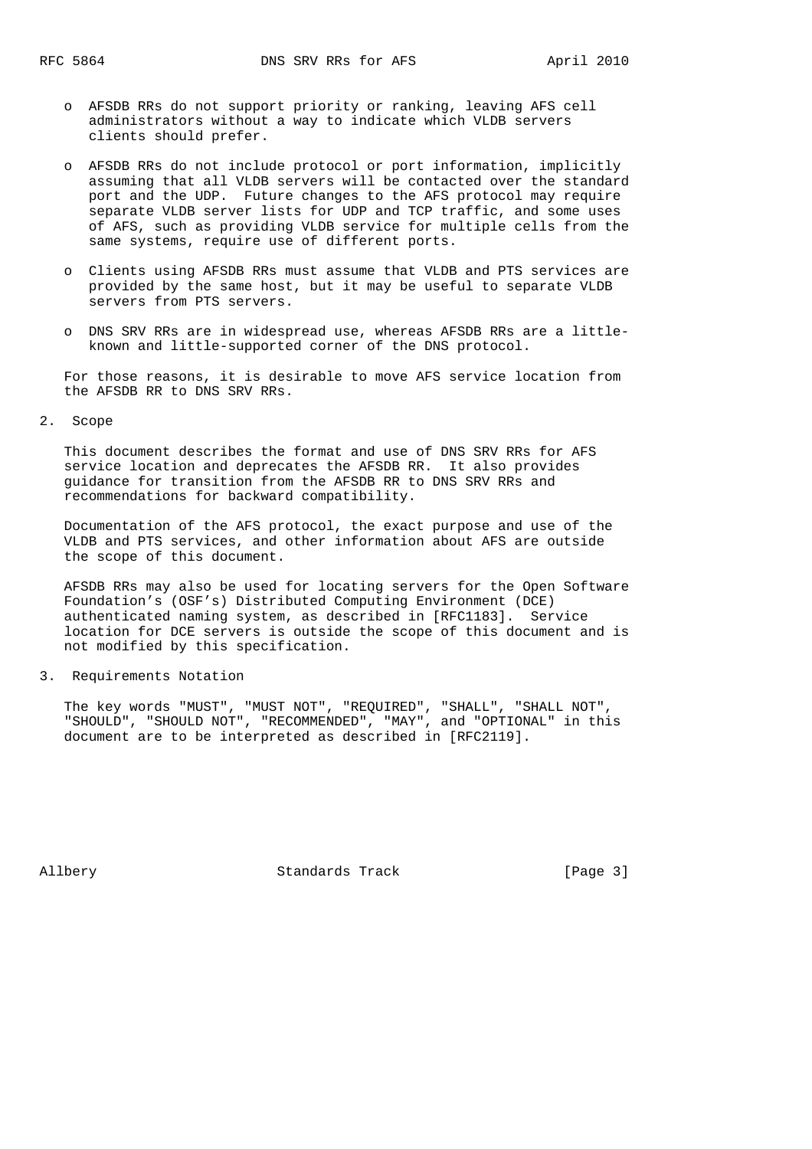- o AFSDB RRs do not support priority or ranking, leaving AFS cell administrators without a way to indicate which VLDB servers clients should prefer.
- o AFSDB RRs do not include protocol or port information, implicitly assuming that all VLDB servers will be contacted over the standard port and the UDP. Future changes to the AFS protocol may require separate VLDB server lists for UDP and TCP traffic, and some uses of AFS, such as providing VLDB service for multiple cells from the same systems, require use of different ports.
- o Clients using AFSDB RRs must assume that VLDB and PTS services are provided by the same host, but it may be useful to separate VLDB servers from PTS servers.
- o DNS SRV RRs are in widespread use, whereas AFSDB RRs are a little known and little-supported corner of the DNS protocol.

 For those reasons, it is desirable to move AFS service location from the AFSDB RR to DNS SRV RRs.

2. Scope

 This document describes the format and use of DNS SRV RRs for AFS service location and deprecates the AFSDB RR. It also provides guidance for transition from the AFSDB RR to DNS SRV RRs and recommendations for backward compatibility.

 Documentation of the AFS protocol, the exact purpose and use of the VLDB and PTS services, and other information about AFS are outside the scope of this document.

 AFSDB RRs may also be used for locating servers for the Open Software Foundation's (OSF's) Distributed Computing Environment (DCE) authenticated naming system, as described in [RFC1183]. Service location for DCE servers is outside the scope of this document and is not modified by this specification.

3. Requirements Notation

 The key words "MUST", "MUST NOT", "REQUIRED", "SHALL", "SHALL NOT", "SHOULD", "SHOULD NOT", "RECOMMENDED", "MAY", and "OPTIONAL" in this document are to be interpreted as described in [RFC2119].

Allbery Standards Track [Page 3]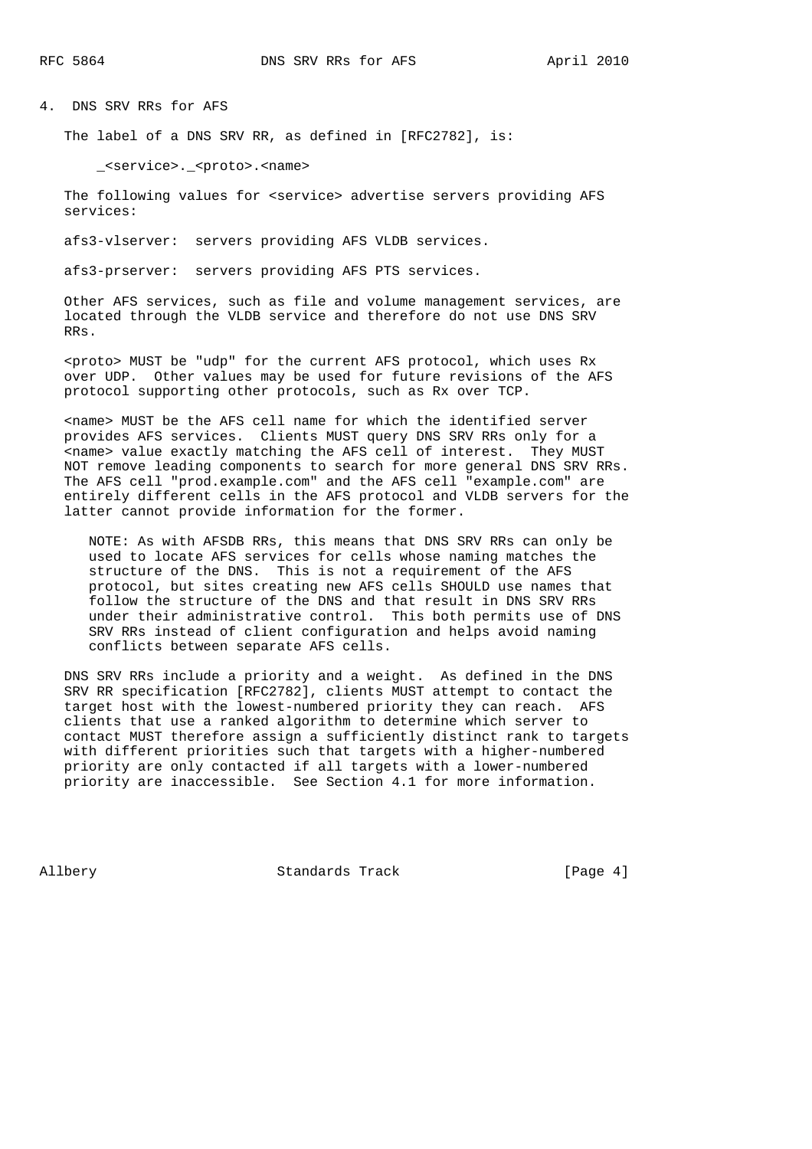4. DNS SRV RRs for AFS

The label of a DNS SRV RR, as defined in [RFC2782], is:

\_<service>.\_<proto>.<name>

 The following values for <service> advertise servers providing AFS services:

afs3-vlserver: servers providing AFS VLDB services.

afs3-prserver: servers providing AFS PTS services.

 Other AFS services, such as file and volume management services, are located through the VLDB service and therefore do not use DNS SRV RRs.

 <proto> MUST be "udp" for the current AFS protocol, which uses Rx over UDP. Other values may be used for future revisions of the AFS protocol supporting other protocols, such as Rx over TCP.

 <name> MUST be the AFS cell name for which the identified server provides AFS services. Clients MUST query DNS SRV RRs only for a <name> value exactly matching the AFS cell of interest. They MUST NOT remove leading components to search for more general DNS SRV RRs. The AFS cell "prod.example.com" and the AFS cell "example.com" are entirely different cells in the AFS protocol and VLDB servers for the latter cannot provide information for the former.

 NOTE: As with AFSDB RRs, this means that DNS SRV RRs can only be used to locate AFS services for cells whose naming matches the structure of the DNS. This is not a requirement of the AFS protocol, but sites creating new AFS cells SHOULD use names that follow the structure of the DNS and that result in DNS SRV RRs under their administrative control. This both permits use of DNS SRV RRs instead of client configuration and helps avoid naming conflicts between separate AFS cells.

 DNS SRV RRs include a priority and a weight. As defined in the DNS SRV RR specification [RFC2782], clients MUST attempt to contact the target host with the lowest-numbered priority they can reach. AFS clients that use a ranked algorithm to determine which server to contact MUST therefore assign a sufficiently distinct rank to targets with different priorities such that targets with a higher-numbered priority are only contacted if all targets with a lower-numbered priority are inaccessible. See Section 4.1 for more information.

Allbery Standards Track [Page 4]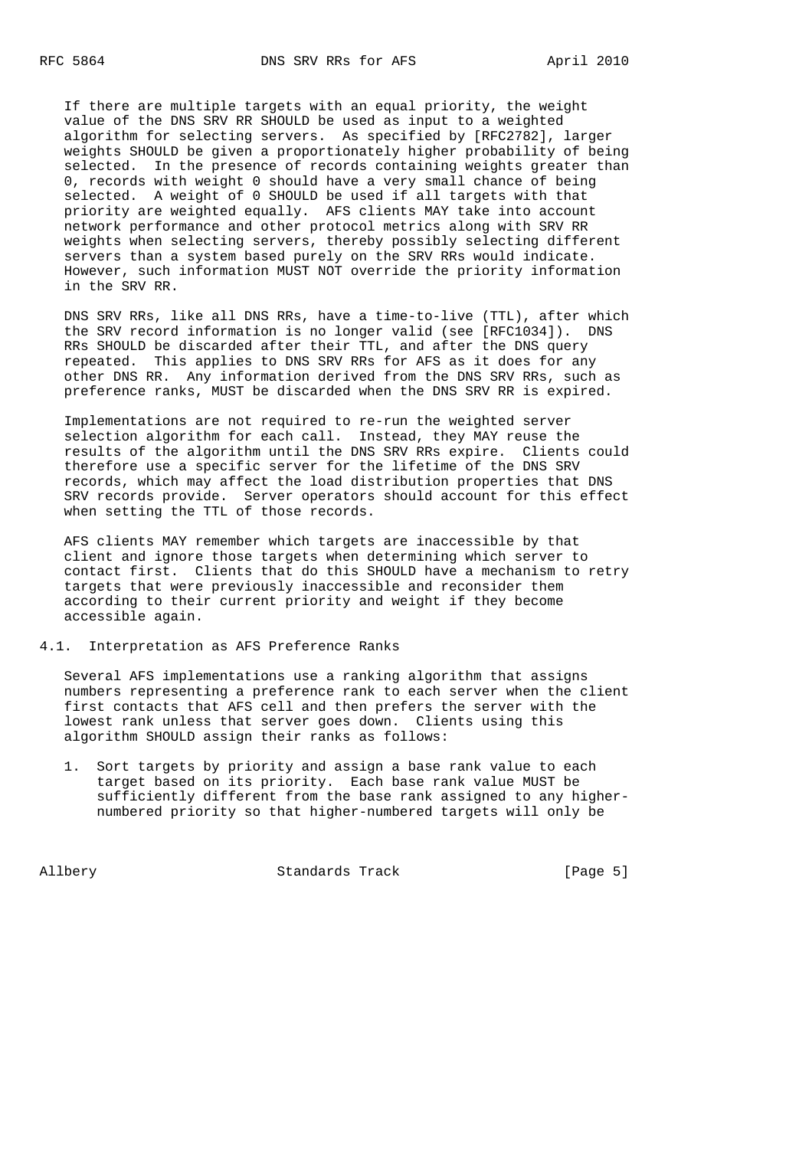If there are multiple targets with an equal priority, the weight value of the DNS SRV RR SHOULD be used as input to a weighted algorithm for selecting servers. As specified by [RFC2782], larger weights SHOULD be given a proportionately higher probability of being selected. In the presence of records containing weights greater than 0, records with weight 0 should have a very small chance of being selected. A weight of 0 SHOULD be used if all targets with that priority are weighted equally. AFS clients MAY take into account network performance and other protocol metrics along with SRV RR weights when selecting servers, thereby possibly selecting different servers than a system based purely on the SRV RRs would indicate. However, such information MUST NOT override the priority information in the SRV RR.

 DNS SRV RRs, like all DNS RRs, have a time-to-live (TTL), after which the SRV record information is no longer valid (see [RFC1034]). DNS RRs SHOULD be discarded after their TTL, and after the DNS query repeated. This applies to DNS SRV RRs for AFS as it does for any other DNS RR. Any information derived from the DNS SRV RRs, such as preference ranks, MUST be discarded when the DNS SRV RR is expired.

 Implementations are not required to re-run the weighted server selection algorithm for each call. Instead, they MAY reuse the results of the algorithm until the DNS SRV RRs expire. Clients could therefore use a specific server for the lifetime of the DNS SRV records, which may affect the load distribution properties that DNS SRV records provide. Server operators should account for this effect when setting the TTL of those records.

 AFS clients MAY remember which targets are inaccessible by that client and ignore those targets when determining which server to contact first. Clients that do this SHOULD have a mechanism to retry targets that were previously inaccessible and reconsider them according to their current priority and weight if they become accessible again.

#### 4.1. Interpretation as AFS Preference Ranks

 Several AFS implementations use a ranking algorithm that assigns numbers representing a preference rank to each server when the client first contacts that AFS cell and then prefers the server with the lowest rank unless that server goes down. Clients using this algorithm SHOULD assign their ranks as follows:

 1. Sort targets by priority and assign a base rank value to each target based on its priority. Each base rank value MUST be sufficiently different from the base rank assigned to any higher numbered priority so that higher-numbered targets will only be

Allbery Standards Track [Page 5]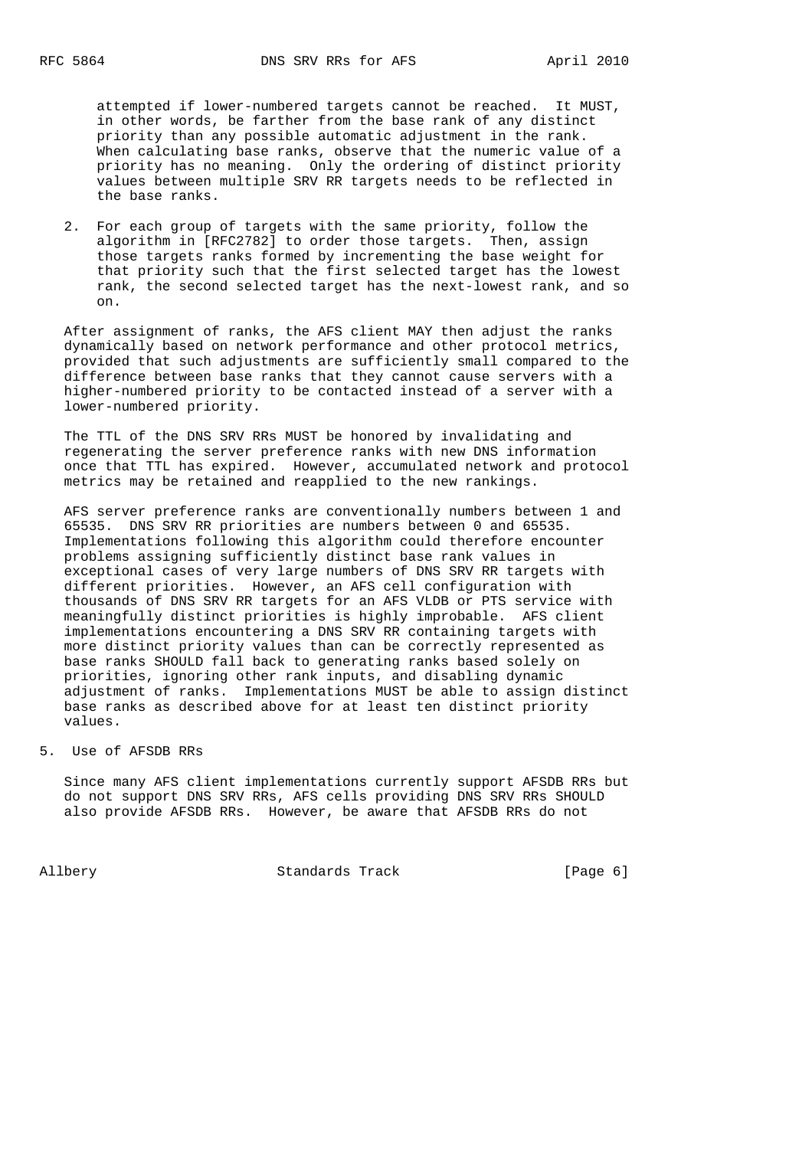attempted if lower-numbered targets cannot be reached. It MUST, in other words, be farther from the base rank of any distinct priority than any possible automatic adjustment in the rank. When calculating base ranks, observe that the numeric value of a priority has no meaning. Only the ordering of distinct priority values between multiple SRV RR targets needs to be reflected in the base ranks.

 2. For each group of targets with the same priority, follow the algorithm in [RFC2782] to order those targets. Then, assign those targets ranks formed by incrementing the base weight for that priority such that the first selected target has the lowest rank, the second selected target has the next-lowest rank, and so on.

 After assignment of ranks, the AFS client MAY then adjust the ranks dynamically based on network performance and other protocol metrics, provided that such adjustments are sufficiently small compared to the difference between base ranks that they cannot cause servers with a higher-numbered priority to be contacted instead of a server with a lower-numbered priority.

 The TTL of the DNS SRV RRs MUST be honored by invalidating and regenerating the server preference ranks with new DNS information once that TTL has expired. However, accumulated network and protocol metrics may be retained and reapplied to the new rankings.

 AFS server preference ranks are conventionally numbers between 1 and 65535. DNS SRV RR priorities are numbers between 0 and 65535. Implementations following this algorithm could therefore encounter problems assigning sufficiently distinct base rank values in exceptional cases of very large numbers of DNS SRV RR targets with different priorities. However, an AFS cell configuration with thousands of DNS SRV RR targets for an AFS VLDB or PTS service with meaningfully distinct priorities is highly improbable. AFS client implementations encountering a DNS SRV RR containing targets with more distinct priority values than can be correctly represented as base ranks SHOULD fall back to generating ranks based solely on priorities, ignoring other rank inputs, and disabling dynamic adjustment of ranks. Implementations MUST be able to assign distinct base ranks as described above for at least ten distinct priority values.

5. Use of AFSDB RRs

 Since many AFS client implementations currently support AFSDB RRs but do not support DNS SRV RRs, AFS cells providing DNS SRV RRs SHOULD also provide AFSDB RRs. However, be aware that AFSDB RRs do not

Allbery Standards Track [Page 6]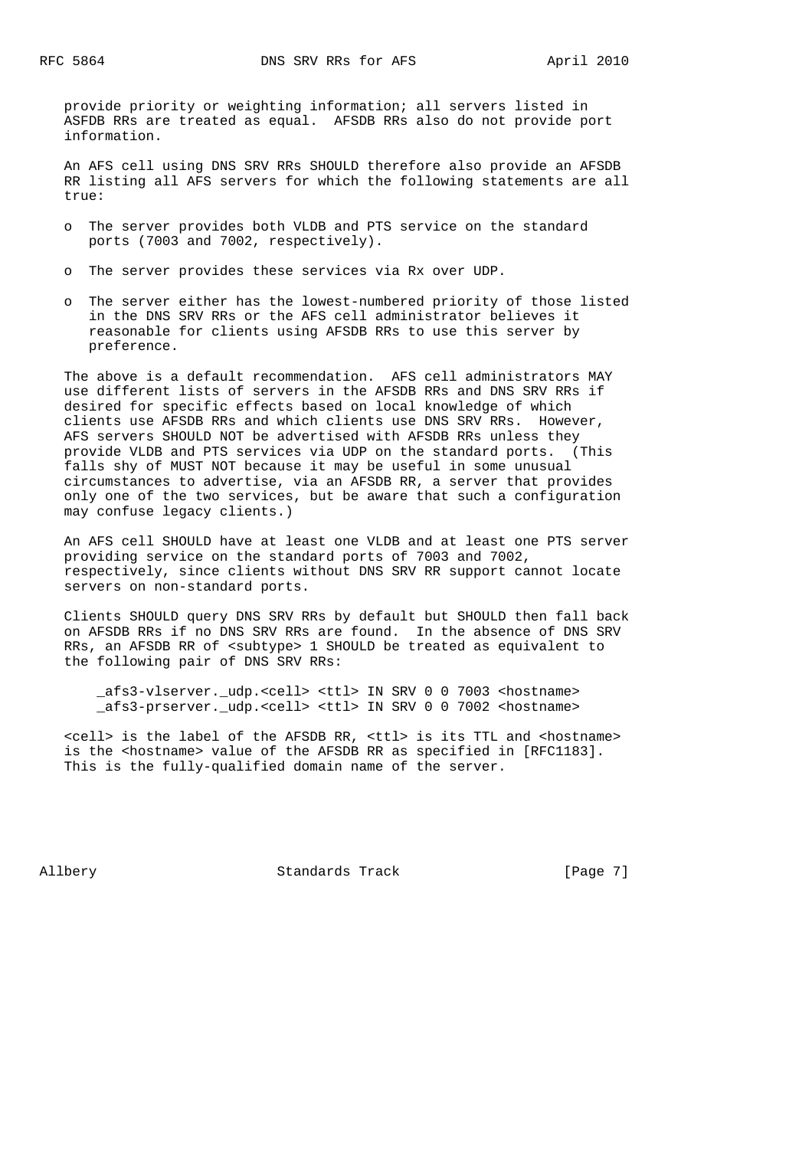provide priority or weighting information; all servers listed in ASFDB RRs are treated as equal. AFSDB RRs also do not provide port information.

 An AFS cell using DNS SRV RRs SHOULD therefore also provide an AFSDB RR listing all AFS servers for which the following statements are all true:

- o The server provides both VLDB and PTS service on the standard ports (7003 and 7002, respectively).
- o The server provides these services via Rx over UDP.
- o The server either has the lowest-numbered priority of those listed in the DNS SRV RRs or the AFS cell administrator believes it reasonable for clients using AFSDB RRs to use this server by preference.

 The above is a default recommendation. AFS cell administrators MAY use different lists of servers in the AFSDB RRs and DNS SRV RRs if desired for specific effects based on local knowledge of which clients use AFSDB RRs and which clients use DNS SRV RRs. However, AFS servers SHOULD NOT be advertised with AFSDB RRs unless they provide VLDB and PTS services via UDP on the standard ports. (This falls shy of MUST NOT because it may be useful in some unusual circumstances to advertise, via an AFSDB RR, a server that provides only one of the two services, but be aware that such a configuration may confuse legacy clients.)

 An AFS cell SHOULD have at least one VLDB and at least one PTS server providing service on the standard ports of 7003 and 7002, respectively, since clients without DNS SRV RR support cannot locate servers on non-standard ports.

 Clients SHOULD query DNS SRV RRs by default but SHOULD then fall back on AFSDB RRs if no DNS SRV RRs are found. In the absence of DNS SRV RRs, an AFSDB RR of <subtype> 1 SHOULD be treated as equivalent to the following pair of DNS SRV RRs:

 \_afs3-vlserver.\_udp.<cell> <ttl> IN SRV 0 0 7003 <hostname> \_afs3-prserver.\_udp.<cell> <ttl> IN SRV 0 0 7002 <hostname>

 <cell> is the label of the AFSDB RR, <ttl> is its TTL and <hostname> is the <hostname> value of the AFSDB RR as specified in [RFC1183]. This is the fully-qualified domain name of the server.

Allbery Standards Track [Page 7]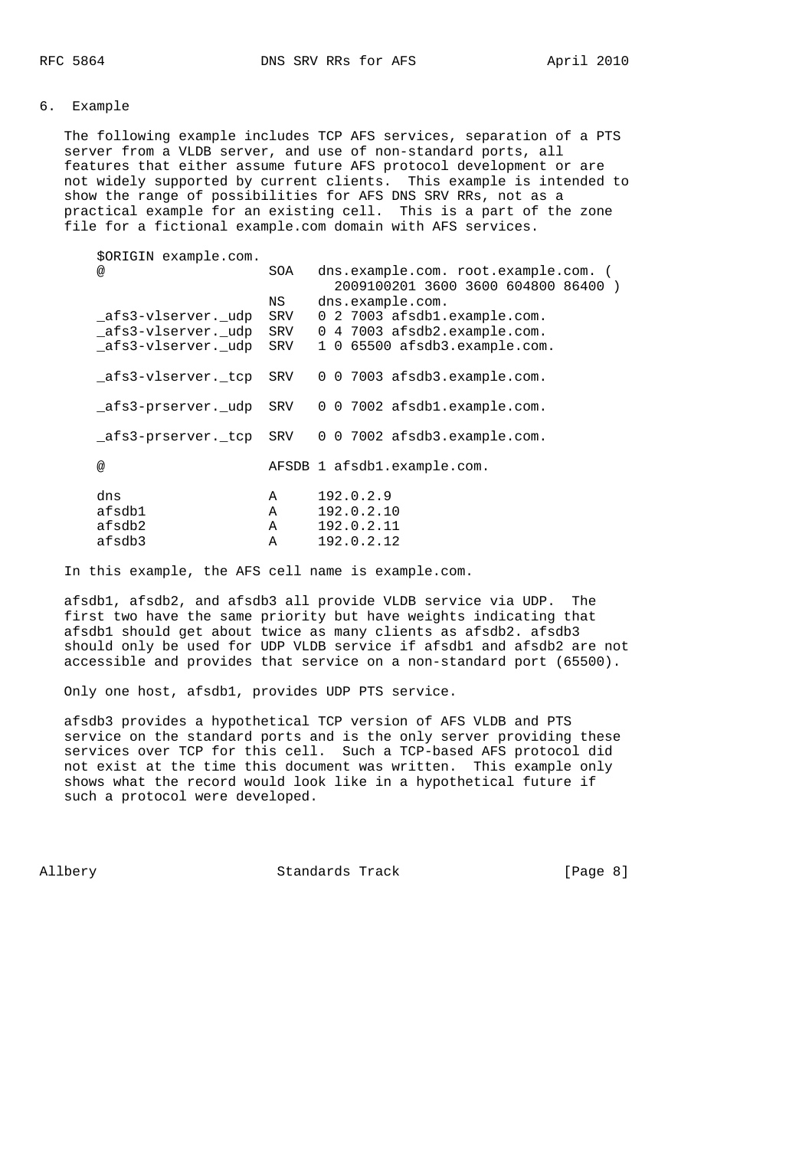# 6. Example

 The following example includes TCP AFS services, separation of a PTS server from a VLDB server, and use of non-standard ports, all features that either assume future AFS protocol development or are not widely supported by current clients. This example is intended to show the range of possibilities for AFS DNS SRV RRs, not as a practical example for an existing cell. This is a part of the zone file for a fictional example.com domain with AFS services.

| \$ORIGIN example.com. |              |                                                                             |
|-----------------------|--------------|-----------------------------------------------------------------------------|
| @                     | SOA          | dns.example.com. root.example.com. (<br>2009100201 3600 3600 604800 86400 ) |
|                       | NS           | dns.example.com.                                                            |
| afs3-vlserver. udp    | SRV          | 0 2 7003 afsdb1.example.com.                                                |
| afs3-vlserver. udp    | SRV          | 0 4 7003 afsdb2.example.com.                                                |
| afs3-vlserver. udp    | SRV          | 1 0 65500 afsdb3.example.com.                                               |
| afs3-vlserver. tcp    | SRV          | 0 0 7003 afsdb3.example.com.                                                |
| afs3-prserver. udp    | SRV          | 0 0 7002 afsdb1.example.com.                                                |
| afs3-prserver. tcp    | SRV          | 0 0 7002 afsdb3.example.com.                                                |
| @                     |              | AFSDB 1 afsdb1.example.com.                                                 |
| dns                   | A            | 192.0.2.9                                                                   |
| afsdb1                | Α            | 192.0.2.10                                                                  |
| afsdb2                | Α            | 192.0.2.11                                                                  |
| afsdb3                | $\mathbb{A}$ | 192.0.2.12                                                                  |
|                       |              |                                                                             |

In this example, the AFS cell name is example.com.

 afsdb1, afsdb2, and afsdb3 all provide VLDB service via UDP. The first two have the same priority but have weights indicating that afsdb1 should get about twice as many clients as afsdb2. afsdb3 should only be used for UDP VLDB service if afsdb1 and afsdb2 are not accessible and provides that service on a non-standard port (65500).

Only one host, afsdb1, provides UDP PTS service.

 afsdb3 provides a hypothetical TCP version of AFS VLDB and PTS service on the standard ports and is the only server providing these services over TCP for this cell. Such a TCP-based AFS protocol did not exist at the time this document was written. This example only shows what the record would look like in a hypothetical future if such a protocol were developed.

Allbery Standards Track [Page 8]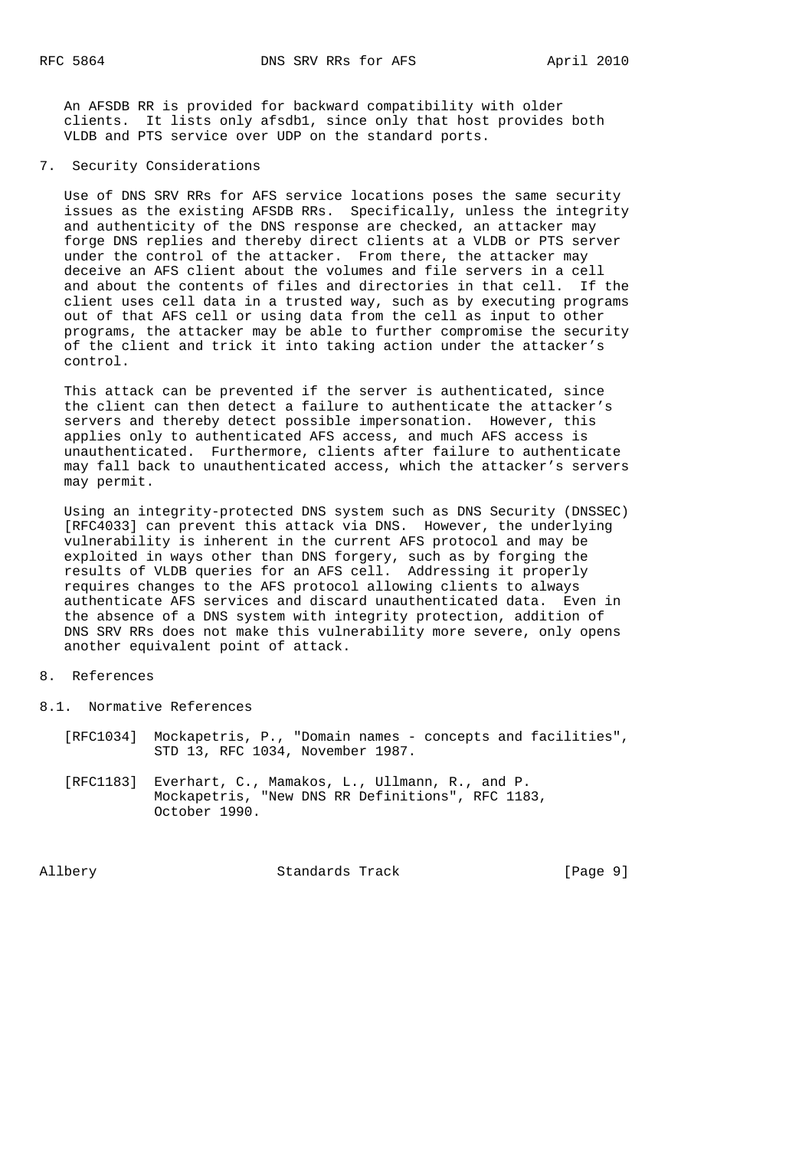An AFSDB RR is provided for backward compatibility with older clients. It lists only afsdb1, since only that host provides both VLDB and PTS service over UDP on the standard ports.

## 7. Security Considerations

 Use of DNS SRV RRs for AFS service locations poses the same security issues as the existing AFSDB RRs. Specifically, unless the integrity and authenticity of the DNS response are checked, an attacker may forge DNS replies and thereby direct clients at a VLDB or PTS server under the control of the attacker. From there, the attacker may deceive an AFS client about the volumes and file servers in a cell and about the contents of files and directories in that cell. If the client uses cell data in a trusted way, such as by executing programs out of that AFS cell or using data from the cell as input to other programs, the attacker may be able to further compromise the security of the client and trick it into taking action under the attacker's control.

 This attack can be prevented if the server is authenticated, since the client can then detect a failure to authenticate the attacker's servers and thereby detect possible impersonation. However, this applies only to authenticated AFS access, and much AFS access is unauthenticated. Furthermore, clients after failure to authenticate may fall back to unauthenticated access, which the attacker's servers may permit.

 Using an integrity-protected DNS system such as DNS Security (DNSSEC) [RFC4033] can prevent this attack via DNS. However, the underlying vulnerability is inherent in the current AFS protocol and may be exploited in ways other than DNS forgery, such as by forging the results of VLDB queries for an AFS cell. Addressing it properly requires changes to the AFS protocol allowing clients to always authenticate AFS services and discard unauthenticated data. Even in the absence of a DNS system with integrity protection, addition of DNS SRV RRs does not make this vulnerability more severe, only opens another equivalent point of attack.

## 8. References

8.1. Normative References

- [RFC1034] Mockapetris, P., "Domain names concepts and facilities", STD 13, RFC 1034, November 1987.
- [RFC1183] Everhart, C., Mamakos, L., Ullmann, R., and P. Mockapetris, "New DNS RR Definitions", RFC 1183, October 1990.

Allbery Standards Track [Page 9]